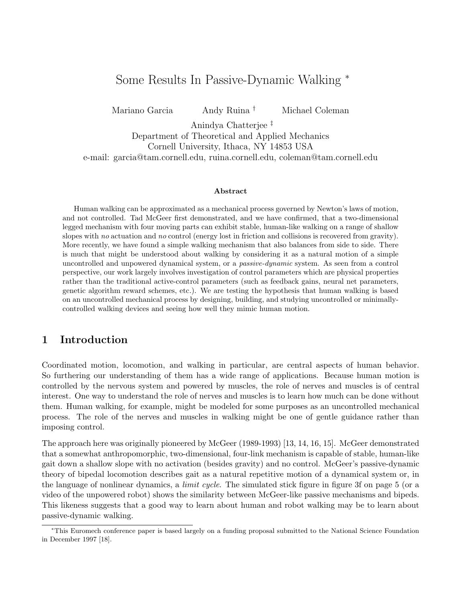# Some Results In Passive-Dynamic Walking <sup>∗</sup>

Mariano Garcia Andy Ruina † Michael Coleman

Anindya Chatterjee ‡ Department of Theoretical and Applied Mechanics

Cornell University, Ithaca, NY 14853 USA

e-mail: garcia@tam.cornell.edu, ruina.cornell.edu, coleman@tam.cornell.edu

#### **Abstract**

Human walking can be approximated as a mechanical process governed by Newton's laws of motion, and not controlled. Tad McGeer first demonstrated, and we have confirmed, that a two-dimensional legged mechanism with four moving parts can exhibit stable, human-like walking on a range of shallow slopes with no actuation and no control (energy lost in friction and collisions is recovered from gravity). More recently, we have found a simple walking mechanism that also balances from side to side. There is much that might be understood about walking by considering it as a natural motion of a simple uncontrolled and unpowered dynamical system, or a passive-dynamic system. As seen from a control perspective, our work largely involves investigation of control parameters which are physical properties rather than the traditional active-control parameters (such as feedback gains, neural net parameters, genetic algorithm reward schemes, etc.). We are testing the hypothesis that human walking is based on an uncontrolled mechanical process by designing, building, and studying uncontrolled or minimallycontrolled walking devices and seeing how well they mimic human motion.

## **1 Introduction**

Coordinated motion, locomotion, and walking in particular, are central aspects of human behavior. So furthering our understanding of them has a wide range of applications. Because human motion is controlled by the nervous system and powered by muscles, the role of nerves and muscles is of central interest. One way to understand the role of nerves and muscles is to learn how much can be done without them. Human walking, for example, might be modeled for some purposes as an uncontrolled mechanical process. The role of the nerves and muscles in walking might be one of gentle guidance rather than imposing control.

The approach here was originally pioneered by McGeer (1989-1993) [13, 14, 16, 15]. McGeer demonstrated that a somewhat anthropomorphic, two-dimensional, four-link mechanism is capable of stable, human-like gait down a shallow slope with no activation (besides gravity) and no control. McGeer's passive-dynamic theory of bipedal locomotion describes gait as a natural repetitive motion of a dynamical system or, in the language of nonlinear dynamics, a *limit cycle*. The simulated stick figure in figure 3f on page 5 (or a video of the unpowered robot) shows the similarity between McGeer-like passive mechanisms and bipeds. This likeness suggests that a good way to learn about human and robot walking may be to learn about passive-dynamic walking.

<sup>∗</sup>This Euromech conference paper is based largely on a funding proposal submitted to the National Science Foundation in December 1997 [18].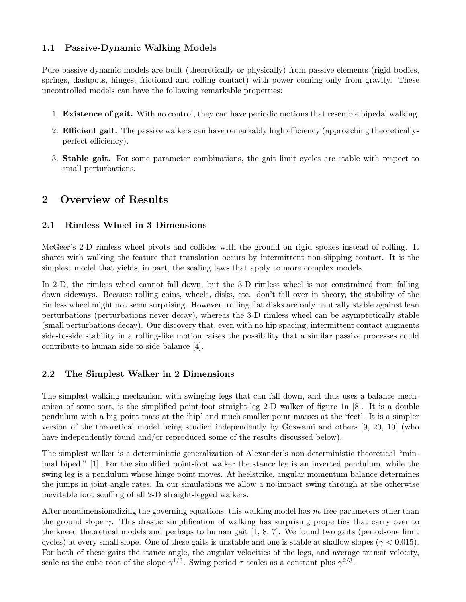### **1.1 Passive-Dynamic Walking Models**

Pure passive-dynamic models are built (theoretically or physically) from passive elements (rigid bodies, springs, dashpots, hinges, frictional and rolling contact) with power coming only from gravity. These uncontrolled models can have the following remarkable properties:

- 1. **Existence of gait.** With no control, they can have periodic motions that resemble bipedal walking.
- 2. **Efficient gait.** The passive walkers can have remarkably high efficiency (approaching theoreticallyperfect efficiency).
- 3. **Stable gait.** For some parameter combinations, the gait limit cycles are stable with respect to small perturbations.

# **2 Overview of Results**

### **2.1 Rimless Wheel in 3 Dimensions**

McGeer's 2-D rimless wheel pivots and collides with the ground on rigid spokes instead of rolling. It shares with walking the feature that translation occurs by intermittent non-slipping contact. It is the simplest model that yields, in part, the scaling laws that apply to more complex models.

In 2-D, the rimless wheel cannot fall down, but the 3-D rimless wheel is not constrained from falling down sideways. Because rolling coins, wheels, disks, etc. don't fall over in theory, the stability of the rimless wheel might not seem surprising. However, rolling flat disks are only neutrally stable against lean perturbations (perturbations never decay), whereas the 3-D rimless wheel can be asymptotically stable (small perturbations decay). Our discovery that, even with no hip spacing, intermittent contact augments side-to-side stability in a rolling-like motion raises the possibility that a similar passive processes could contribute to human side-to-side balance [4].

## **2.2 The Simplest Walker in 2 Dimensions**

The simplest walking mechanism with swinging legs that can fall down, and thus uses a balance mechanism of some sort, is the simplified point-foot straight-leg 2-D walker of figure 1a [8]. It is a double pendulum with a big point mass at the 'hip' and much smaller point masses at the 'feet'. It is a simpler version of the theoretical model being studied independently by Goswami and others [9, 20, 10] (who have independently found and/or reproduced some of the results discussed below).

The simplest walker is a deterministic generalization of Alexander's non-deterministic theoretical "minimal biped," [1]. For the simplified point-foot walker the stance leg is an inverted pendulum, while the swing leg is a pendulum whose hinge point moves. At heelstrike, angular momentum balance determines the jumps in joint-angle rates. In our simulations we allow a no-impact swing through at the otherwise inevitable foot scuffing of all 2-D straight-legged walkers.

After nondimensionalizing the governing equations, this walking model has no free parameters other than the ground slope  $\gamma$ . This drastic simplification of walking has surprising properties that carry over to the kneed theoretical models and perhaps to human gait [1, 8, 7]. We found two gaits (period-one limit cycles) at every small slope. One of these gaits is unstable and one is stable at shallow slopes ( $\gamma$  < 0.015). For both of these gaits the stance angle, the angular velocities of the legs, and average transit velocity, scale as the cube root of the slope  $\gamma^{1/3}$ . Swing period  $\tau$  scales as a constant plus  $\gamma^{2/3}$ .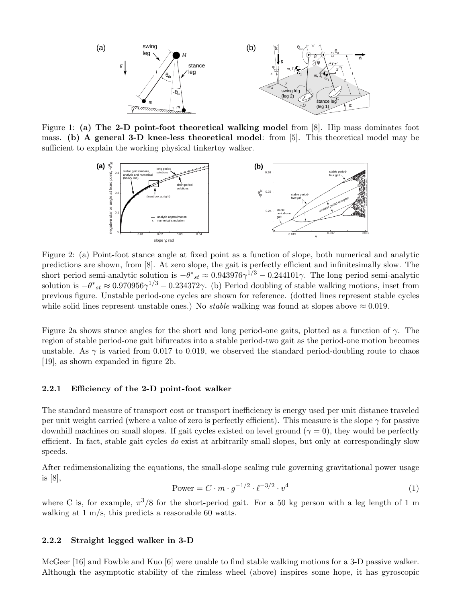

Figure 1: **(a) The 2-D point-foot theoretical walking model** from [8]. Hip mass dominates foot mass. **(b) A general 3-D knee-less theoretical model**: from [5]. This theoretical model may be sufficient to explain the working physical tinkertoy walker.



Figure 2: (a) Point-foot stance angle at fixed point as a function of slope, both numerical and analytic predictions are shown, from [8]. At zero slope, the gait is perfectly efficient and infinitesimally slow. The short period semi-analytic solution is  $-\theta^*_{st} \approx 0.943976\gamma^{1/3} - 0.244101\gamma$ . The long period semi-analytic solution is  $-\theta^*_{st} \approx 0.970956\gamma^{1/3} - 0.234372\gamma$ . (b) Period doubling of stable walking motions, inset from previous figure. Unstable period-one cycles are shown for reference. (dotted lines represent stable cycles while solid lines represent unstable ones.) No *stable* walking was found at slopes above  $\approx 0.019$ .

Figure 2a shows stance angles for the short and long period-one gaits, plotted as a function of *γ*. The region of stable period-one gait bifurcates into a stable period-two gait as the period-one motion becomes unstable. As  $\gamma$  is varied from 0.017 to 0.019, we observed the standard period-doubling route to chaos [19], as shown expanded in figure 2b.

#### **2.2.1 Efficiency of the 2-D point-foot walker**

The standard measure of transport cost or transport inefficiency is energy used per unit distance traveled per unit weight carried (where a value of zero is perfectly efficient). This measure is the slope *γ* for passive downhill machines on small slopes. If gait cycles existed on level ground ( $\gamma = 0$ ), they would be perfectly efficient. In fact, stable gait cycles do exist at arbitrarily small slopes, but only at correspondingly slow speeds.

After redimensionalizing the equations, the small-slope scaling rule governing gravitational power usage is [8],

Power = 
$$
C \cdot m \cdot g^{-1/2} \cdot \ell^{-3/2} \cdot v^4
$$
 (1)

where C is, for example,  $\pi^3/8$  for the short-period gait. For a 50 kg person with a leg length of 1 m walking at 1 m/s, this predicts a reasonable 60 watts.

#### **2.2.2 Straight legged walker in 3-D**

McGeer [16] and Fowble and Kuo [6] were unable to find stable walking motions for a 3-D passive walker. Although the asymptotic stability of the rimless wheel (above) inspires some hope, it has gyroscopic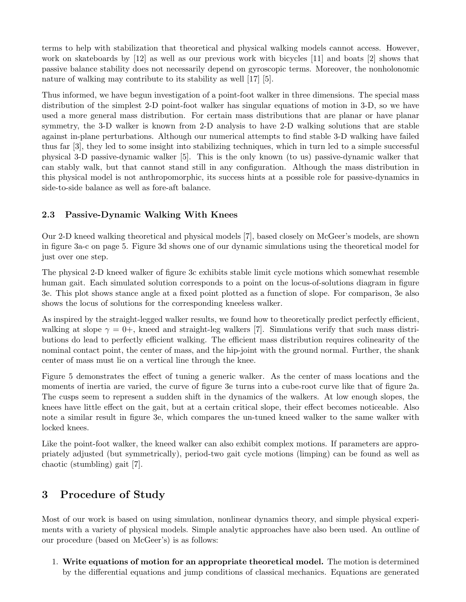terms to help with stabilization that theoretical and physical walking models cannot access. However, work on skateboards by [12] as well as our previous work with bicycles [11] and boats [2] shows that passive balance stability does not necessarily depend on gyroscopic terms. Moreover, the nonholonomic nature of walking may contribute to its stability as well [17] [5].

Thus informed, we have begun investigation of a point-foot walker in three dimensions. The special mass distribution of the simplest 2-D point-foot walker has singular equations of motion in 3-D, so we have used a more general mass distribution. For certain mass distributions that are planar or have planar symmetry, the 3-D walker is known from 2-D analysis to have 2-D walking solutions that are stable against in-plane perturbations. Although our numerical attempts to find stable 3-D walking have failed thus far [3], they led to some insight into stabilizing techniques, which in turn led to a simple successful physical 3-D passive-dynamic walker [5]. This is the only known (to us) passive-dynamic walker that can stably walk, but that cannot stand still in any configuration. Although the mass distribution in this physical model is not anthropomorphic, its success hints at a possible role for passive-dynamics in side-to-side balance as well as fore-aft balance.

### **2.3 Passive-Dynamic Walking With Knees**

Our 2-D kneed walking theoretical and physical models [7], based closely on McGeer's models, are shown in figure 3a-c on page 5. Figure 3d shows one of our dynamic simulations using the theoretical model for just over one step.

The physical 2-D kneed walker of figure 3c exhibits stable limit cycle motions which somewhat resemble human gait. Each simulated solution corresponds to a point on the locus-of-solutions diagram in figure 3e. This plot shows stance angle at a fixed point plotted as a function of slope. For comparison, 3e also shows the locus of solutions for the corresponding kneeless walker.

As inspired by the straight-legged walker results, we found how to theoretically predict perfectly efficient, walking at slope  $\gamma = 0^+$ , kneed and straight-leg walkers [7]. Simulations verify that such mass distributions do lead to perfectly efficient walking. The efficient mass distribution requires colinearity of the nominal contact point, the center of mass, and the hip-joint with the ground normal. Further, the shank center of mass must lie on a vertical line through the knee.

Figure 5 demonstrates the effect of tuning a generic walker. As the center of mass locations and the moments of inertia are varied, the curve of figure 3e turns into a cube-root curve like that of figure 2a. The cusps seem to represent a sudden shift in the dynamics of the walkers. At low enough slopes, the knees have little effect on the gait, but at a certain critical slope, their effect becomes noticeable. Also note a similar result in figure 3e, which compares the un-tuned kneed walker to the same walker with locked knees.

Like the point-foot walker, the kneed walker can also exhibit complex motions. If parameters are appropriately adjusted (but symmetrically), period-two gait cycle motions (limping) can be found as well as chaotic (stumbling) gait [7].

# **3 Procedure of Study**

Most of our work is based on using simulation, nonlinear dynamics theory, and simple physical experiments with a variety of physical models. Simple analytic approaches have also been used. An outline of our procedure (based on McGeer's) is as follows:

1. **Write equations of motion for an appropriate theoretical model.** The motion is determined by the differential equations and jump conditions of classical mechanics. Equations are generated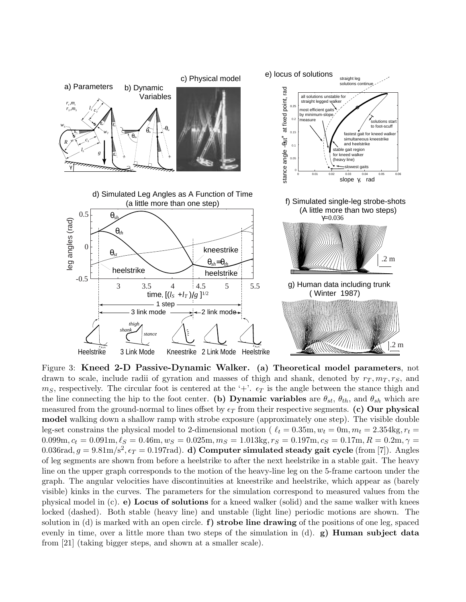

Figure 3: **Kneed 2-D Passive-Dynamic Walker. (a) Theoretical model parameters**, not drawn to scale, include radii of gyration and masses of thigh and shank, denoted by  $r_T, m_T, r_S$ , and  $m<sub>S</sub>$ , respectively. The circular foot is centered at the '+'.  $\epsilon_T$  is the angle between the stance thigh and the line connecting the hip to the foot center. **(b) Dynamic variables** are  $\theta_{st}$ ,  $\theta_{th}$ , and  $\theta_{sh}$  which are measured from the ground-normal to lines offset by  $\epsilon_T$  from their respective segments. **(c) Our physical model** walking down a shallow ramp with strobe exposure (approximately one step). The visible double leg-set constrains the physical model to 2-dimensional motion ( $\ell_t = 0.35$ m,  $w_t = 0$ m,  $m_t = 2.354$ kg,  $r_t =$  $0.099m, c_t = 0.091m, \ell_S = 0.46m, w_S = 0.025m, m_S = 1.013kg, r_S = 0.197m, c_S = 0.17m, R = 0.2m, \gamma = 0.099m, c_t = 0.091m, \ell_S = 0.025m, m_S = 1.013kg, r_S = 0.197m, c_s = 0.17m, R = 0.2m, \gamma = 0.091m, \gamma = 0.091m, \gamma = 0.091m, \gamma = 0.091m, \gamma = 0.091m, \gamma = 0.091m,$ 0.036rad,  $g = 9.81 \text{m/s}^2$ ,  $\epsilon_T = 0.197 \text{rad}$ . **d) Computer simulated steady gait cycle** (from [7]). Angles of leg segments are shown from before a heelstrike to after the next heelstrike in a stable gait. The heavy line on the upper graph corresponds to the motion of the heavy-line leg on the 5-frame cartoon under the graph. The angular velocities have discontinuities at kneestrike and heelstrike, which appear as (barely visible) kinks in the curves. The parameters for the simulation correspond to measured values from the physical model in (c). **e) Locus of solutions** for a kneed walker (solid) and the same walker with knees locked (dashed). Both stable (heavy line) and unstable (light line) periodic motions are shown. The solution in (d) is marked with an open circle. **f) strobe line drawing** of the positions of one leg, spaced evenly in time, over a little more than two steps of the simulation in (d). **g) Human subject data** from [21] (taking bigger steps, and shown at a smaller scale).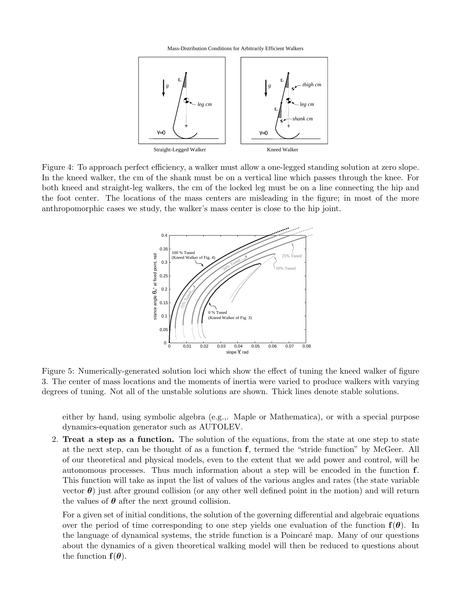Mass-Distribution Conditions for Arbitrarily Efficient Walkers



Figure 4: To approach perfect efficiency, a walker must allow a one-legged standing solution at zero slope. In the kneed walker, the cm of the shank must be on a vertical line which passes through the knee. For both kneed and straight-leg walkers, the cm of the locked leg must be on a line connecting the hip and the foot center. The locations of the mass centers are misleading in the figure; in most of the more anthropomorphic cases we study, the walker's mass center is close to the hip joint.



Figure 5: Numerically-generated solution loci which show the effect of tuning the kneed walker of figure 3. The center of mass locations and the moments of inertia were varied to produce walkers with varying degrees of tuning. Not all of the unstable solutions are shown. Thick lines denote stable solutions.

either by hand, using symbolic algebra (e.g.,. Maple or Mathematica), or with a special purpose dynamics-equation generator such as AUTOLEV.

2. **Treat a step as a function.** The solution of the equations, from the state at one step to state at the next step, can be thought of as a function **f**, termed the "stride function" by McGeer. All of our theoretical and physical models, even to the extent that we add power and control, will be autonomous processes. Thus much information about a step will be encoded in the function **f**. This function will take as input the list of values of the various angles and rates (the state variable vector  $\theta$ ) just after ground collision (or any other well defined point in the motion) and will return the values of  $\theta$  after the next ground collision.

For a given set of initial conditions, the solution of the governing differential and algebraic equations over the period of time corresponding to one step yields one evaluation of the function  $f(\theta)$ . In the language of dynamical systems, the stride function is a Poincaré map. Many of our questions about the dynamics of a given theoretical walking model will then be reduced to questions about the function  $f(\theta)$ .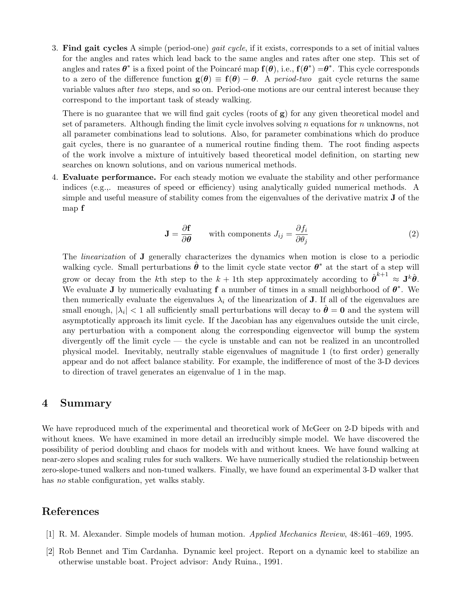3. **Find gait cycles** A simple (period-one) gait cycle, if it exists, corresponds to a set of initial values for the angles and rates which lead back to the same angles and rates after one step. This set of angles and rates  $\theta^*$  is a fixed point of the Poincaré map  $f(\theta)$ , i.e.,  $f(\theta^*) = \theta^*$ . This cycle corresponds to a zero of the difference function  $\mathbf{g}(\theta) \equiv \mathbf{f}(\theta) - \theta$ . A *period-two* gait cycle returns the same variable values after two steps, and so on. Period-one motions are our central interest because they correspond to the important task of steady walking.

There is no guarantee that we will find gait cycles (roots of **g**) for any given theoretical model and set of parameters. Although finding the limit cycle involves solving *n* equations for *n* unknowns, not all parameter combinations lead to solutions. Also, for parameter combinations which do produce gait cycles, there is no guarantee of a numerical routine finding them. The root finding aspects of the work involve a mixture of intuitively based theoretical model definition, on starting new searches on known solutions, and on various numerical methods.

4. **Evaluate performance.** For each steady motion we evaluate the stability and other performance indices (e.g.,. measures of speed or efficiency) using analytically guided numerical methods. A simple and useful measure of stability comes from the eigenvalues of the derivative matrix **J** of the map **f**

$$
\mathbf{J} = \frac{\partial \mathbf{f}}{\partial \theta} \qquad \text{with components } J_{ij} = \frac{\partial f_i}{\partial \theta_j} \tag{2}
$$

The linearization of **J** generally characterizes the dynamics when motion is close to a periodic walking cycle. Small perturbations  $\hat{\theta}$  to the limit cycle state vector  $\theta^*$  at the start of a step will grow or decay from the *k*th step to the  $k + 1$ th step approximately according to  $\hat{\theta}^{k+1} \approx J^k \hat{\theta}$ . We evaluate **J** by numerically evaluating **f** a number of times in a small neighborhood of  $\theta^*$ . We then numerically evaluate the eigenvalues  $\lambda_i$  of the linearization of **J**. If all of the eigenvalues are small enough,  $|\lambda_i| < 1$  all sufficiently small perturbations will decay to  $\theta = 0$  and the system will asymptotically approach its limit cycle. If the Jacobian has any eigenvalues outside the unit circle, any perturbation with a component along the corresponding eigenvector will bump the system divergently off the limit cycle — the cycle is unstable and can not be realized in an uncontrolled physical model. Inevitably, neutrally stable eigenvalues of magnitude 1 (to first order) generally appear and do not affect balance stability. For example, the indifference of most of the 3-D devices to direction of travel generates an eigenvalue of 1 in the map.

### **4 Summary**

We have reproduced much of the experimental and theoretical work of McGeer on 2-D bipeds with and without knees. We have examined in more detail an irreducibly simple model. We have discovered the possibility of period doubling and chaos for models with and without knees. We have found walking at near-zero slopes and scaling rules for such walkers. We have numerically studied the relationship between zero-slope-tuned walkers and non-tuned walkers. Finally, we have found an experimental 3-D walker that has no stable configuration, yet walks stably.

# **References**

- [1] R. M. Alexander. Simple models of human motion. Applied Mechanics Review, 48:461–469, 1995.
- [2] Rob Bennet and Tim Cardanha. Dynamic keel project. Report on a dynamic keel to stabilize an otherwise unstable boat. Project advisor: Andy Ruina., 1991.